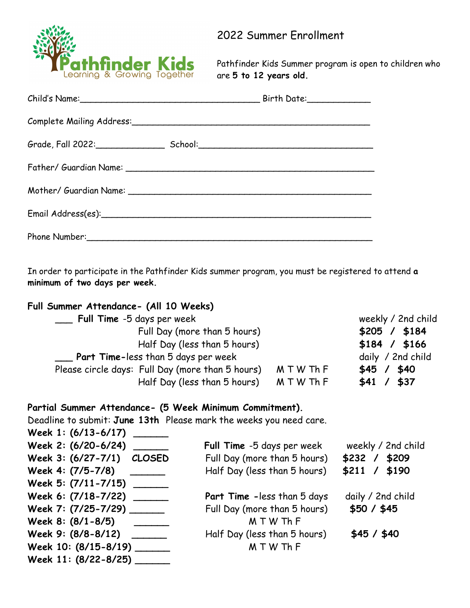

2022 Summer Enrollment

Pathfinder Kids Summer program is open to children who are **5 to 12 years old.**

| Complete Mailing Address: Complete Mailing Address: |  |
|-----------------------------------------------------|--|
|                                                     |  |
|                                                     |  |
|                                                     |  |
|                                                     |  |
|                                                     |  |

In order to participate in the Pathfinder Kids summer program, you must be registered to attend **a minimum of two days per week.**

## **Full Summer Attendance- (All 10 Weeks)**

| Full Time -5 days per week                       |            | weekly / 2nd child |
|--------------------------------------------------|------------|--------------------|
| Full Day (more than 5 hours)                     |            | \$205 / \$184      |
| Half Day (less than 5 hours)                     |            | $$184$ / $$166$    |
| $\mathbb{Z}$ Part Time-less than 5 days per week |            | daily / 2nd child  |
| Please circle days: Full Day (more than 5 hours) | M T W Th F | \$45 / \$40        |
| Half Day (less than 5 hours)                     | MTWThF     | \$37<br>\$41/      |

## **Partial Summer Attendance- (5 Week Minimum Commitment).**

Deadline to submit: **June 13th** Please mark the weeks you need care. **Week 1: (6/13-6/17) \_\_\_\_\_\_**

| MGGK 1: (0) 19-0) 11)      |                              |                    |
|----------------------------|------------------------------|--------------------|
| Week 2: (6/20-6/24) ______ | Full Time -5 days per week   | weekly / 2nd child |
| Week 3: (6/27-7/1) CLOSED  | Full Day (more than 5 hours) | $$232$ / $$209$    |
| Week 4: (7/5-7/8)          | Half Day (less than 5 hours) | $$211$ / \$190     |
| Week 5: (7/11-7/15)        |                              |                    |
| Week 6: (7/18-7/22)        | Part Time - less than 5 days | daily / 2nd child  |
| Week 7: (7/25-7/29) ______ | Full Day (more than 5 hours) | \$50 / \$45        |
| Week 8: (8/1-8/5)          | MTWThF                       |                    |
| Week 9: (8/8-8/12)         | Half Day (less than 5 hours) | \$45 / \$40        |
| Week 10: (8/15-8/19)       | MTWThF                       |                    |
| Week 11: (8/22-8/25)       |                              |                    |